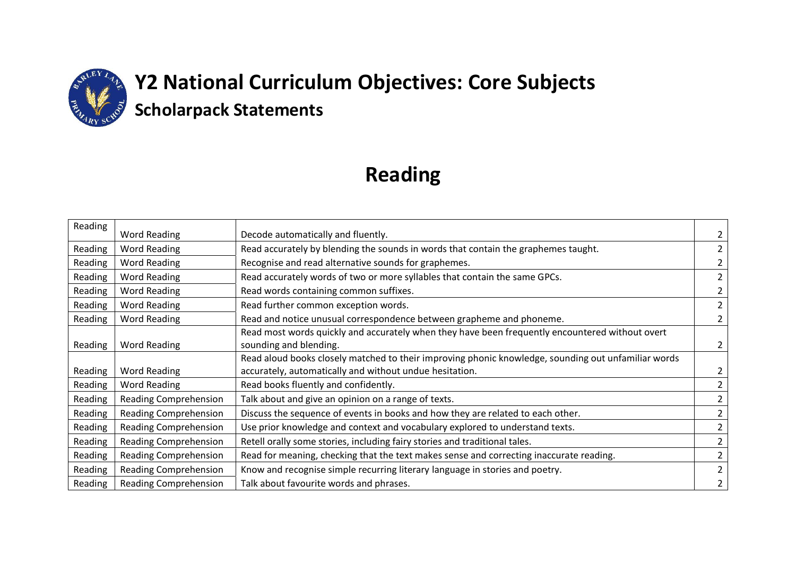

### **Reading**

| Reading | Word Reading                 | Decode automatically and fluently.                                                                  | 2              |
|---------|------------------------------|-----------------------------------------------------------------------------------------------------|----------------|
| Reading | Word Reading                 | Read accurately by blending the sounds in words that contain the graphemes taught.                  | $\overline{2}$ |
| Reading | <b>Word Reading</b>          | Recognise and read alternative sounds for graphemes.                                                | $\overline{2}$ |
| Reading | <b>Word Reading</b>          | Read accurately words of two or more syllables that contain the same GPCs.                          | $\overline{2}$ |
| Reading | <b>Word Reading</b>          | Read words containing common suffixes.                                                              | $\overline{2}$ |
| Reading | <b>Word Reading</b>          | Read further common exception words.                                                                | 2              |
| Reading | <b>Word Reading</b>          | Read and notice unusual correspondence between grapheme and phoneme.                                | $\overline{2}$ |
|         |                              | Read most words quickly and accurately when they have been frequently encountered without overt     |                |
| Reading | Word Reading                 | sounding and blending.                                                                              | $\overline{2}$ |
|         |                              | Read aloud books closely matched to their improving phonic knowledge, sounding out unfamiliar words |                |
| Reading | Word Reading                 | accurately, automatically and without undue hesitation.                                             | 2              |
| Reading | Word Reading                 | Read books fluently and confidently.                                                                | $\overline{2}$ |
| Reading | <b>Reading Comprehension</b> | Talk about and give an opinion on a range of texts.                                                 | $\overline{2}$ |
| Reading | <b>Reading Comprehension</b> | Discuss the sequence of events in books and how they are related to each other.                     | $\overline{2}$ |
| Reading | <b>Reading Comprehension</b> | Use prior knowledge and context and vocabulary explored to understand texts.                        | $\overline{2}$ |
| Reading | <b>Reading Comprehension</b> | Retell orally some stories, including fairy stories and traditional tales.                          | $\overline{2}$ |
| Reading | <b>Reading Comprehension</b> | Read for meaning, checking that the text makes sense and correcting inaccurate reading.             | 2              |
| Reading | <b>Reading Comprehension</b> | Know and recognise simple recurring literary language in stories and poetry.                        | 2              |
| Reading | <b>Reading Comprehension</b> | Talk about favourite words and phrases.                                                             | $\overline{2}$ |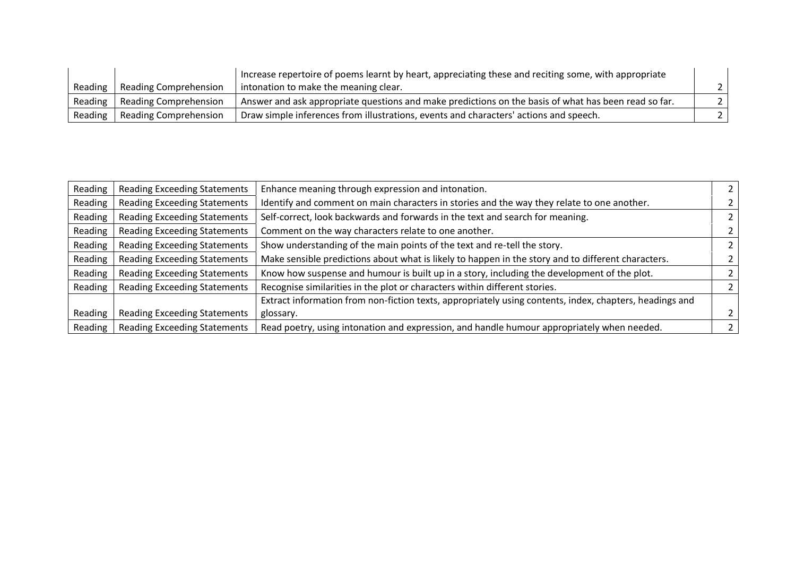|                 |                                 | Increase repertoire of poems learnt by heart, appreciating these and reciting some, with appropriate |  |
|-----------------|---------------------------------|------------------------------------------------------------------------------------------------------|--|
| Reading         | Reading Comprehension           | intonation to make the meaning clear.                                                                |  |
|                 | Reading   Reading Comprehension | Answer and ask appropriate questions and make predictions on the basis of what has been read so far. |  |
| Reading $\vert$ | Reading Comprehension           | <sup>1</sup> Draw simple inferences from illustrations, events and characters' actions and speech.   |  |

| Reading | <b>Reading Exceeding Statements</b> | Enhance meaning through expression and intonation.                                                      |  |
|---------|-------------------------------------|---------------------------------------------------------------------------------------------------------|--|
| Reading | <b>Reading Exceeding Statements</b> | Identify and comment on main characters in stories and the way they relate to one another.              |  |
| Reading | <b>Reading Exceeding Statements</b> | Self-correct, look backwards and forwards in the text and search for meaning.                           |  |
| Reading | <b>Reading Exceeding Statements</b> | Comment on the way characters relate to one another.                                                    |  |
| Reading | <b>Reading Exceeding Statements</b> | Show understanding of the main points of the text and re-tell the story.                                |  |
| Reading | <b>Reading Exceeding Statements</b> | Make sensible predictions about what is likely to happen in the story and to different characters.      |  |
| Reading | <b>Reading Exceeding Statements</b> | Know how suspense and humour is built up in a story, including the development of the plot.             |  |
| Reading | <b>Reading Exceeding Statements</b> | Recognise similarities in the plot or characters within different stories.                              |  |
|         |                                     | Extract information from non-fiction texts, appropriately using contents, index, chapters, headings and |  |
| Reading | <b>Reading Exceeding Statements</b> | glossary.                                                                                               |  |
| Reading | <b>Reading Exceeding Statements</b> | Read poetry, using intonation and expression, and handle humour appropriately when needed.              |  |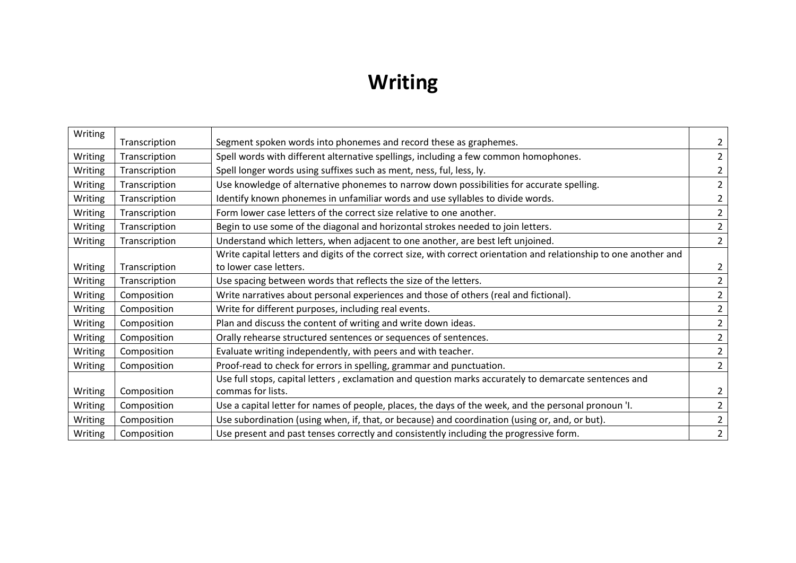# **Writing**

| Writing | Transcription | Segment spoken words into phonemes and record these as graphemes.                                                  | $\overline{2}$ |
|---------|---------------|--------------------------------------------------------------------------------------------------------------------|----------------|
| Writing | Transcription | Spell words with different alternative spellings, including a few common homophones.                               | $2^{\circ}$    |
| Writing | Transcription | Spell longer words using suffixes such as ment, ness, ful, less, ly.                                               | $\overline{2}$ |
| Writing | Transcription | Use knowledge of alternative phonemes to narrow down possibilities for accurate spelling.                          | $\overline{2}$ |
| Writing | Transcription | Identify known phonemes in unfamiliar words and use syllables to divide words.                                     | $2^{\circ}$    |
| Writing | Transcription | Form lower case letters of the correct size relative to one another.                                               | $\overline{2}$ |
| Writing | Transcription | Begin to use some of the diagonal and horizontal strokes needed to join letters.                                   | $\overline{2}$ |
| Writing | Transcription | Understand which letters, when adjacent to one another, are best left unjoined.                                    | $2^{\circ}$    |
|         |               | Write capital letters and digits of the correct size, with correct orientation and relationship to one another and |                |
| Writing | Transcription | to lower case letters.                                                                                             | $\overline{2}$ |
| Writing | Transcription | Use spacing between words that reflects the size of the letters.                                                   | $\overline{2}$ |
| Writing | Composition   | Write narratives about personal experiences and those of others (real and fictional).                              | $\overline{2}$ |
| Writing | Composition   | Write for different purposes, including real events.                                                               | $\overline{2}$ |
| Writing | Composition   | Plan and discuss the content of writing and write down ideas.                                                      | $\overline{2}$ |
| Writing | Composition   | Orally rehearse structured sentences or sequences of sentences.                                                    | $\overline{2}$ |
| Writing | Composition   | Evaluate writing independently, with peers and with teacher.                                                       | $\overline{2}$ |
| Writing | Composition   | Proof-read to check for errors in spelling, grammar and punctuation.                                               | $2^{\circ}$    |
|         |               | Use full stops, capital letters, exclamation and question marks accurately to demarcate sentences and              |                |
| Writing | Composition   | commas for lists.                                                                                                  | $\overline{2}$ |
| Writing | Composition   | Use a capital letter for names of people, places, the days of the week, and the personal pronoun 'I.               | $\overline{2}$ |
| Writing | Composition   | Use subordination (using when, if, that, or because) and coordination (using or, and, or but).                     | $\overline{2}$ |
| Writing | Composition   | Use present and past tenses correctly and consistently including the progressive form.                             | $\overline{2}$ |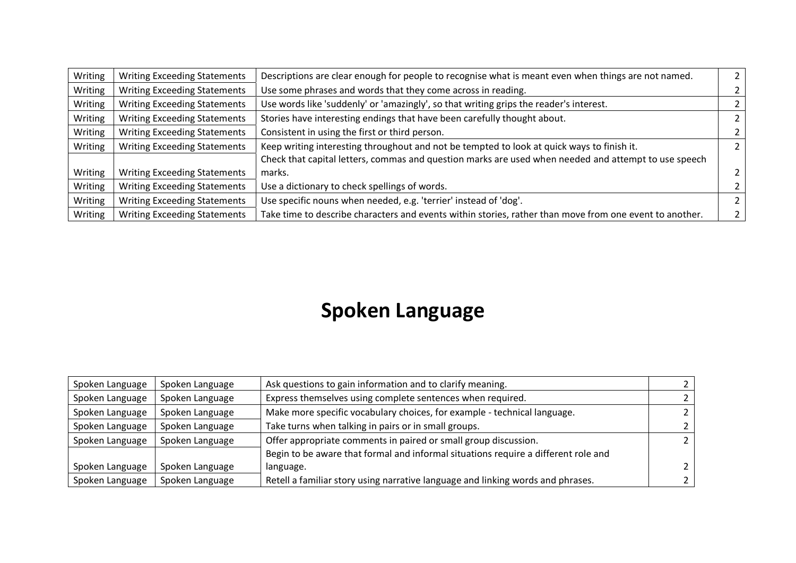| Writing | <b>Writing Exceeding Statements</b> | Descriptions are clear enough for people to recognise what is meant even when things are not named.     |  |
|---------|-------------------------------------|---------------------------------------------------------------------------------------------------------|--|
| Writing | <b>Writing Exceeding Statements</b> | Use some phrases and words that they come across in reading.                                            |  |
| Writing | <b>Writing Exceeding Statements</b> | Use words like 'suddenly' or 'amazingly', so that writing grips the reader's interest.                  |  |
| Writing | <b>Writing Exceeding Statements</b> | Stories have interesting endings that have been carefully thought about.                                |  |
| Writing | <b>Writing Exceeding Statements</b> | Consistent in using the first or third person.                                                          |  |
| Writing | <b>Writing Exceeding Statements</b> | Keep writing interesting throughout and not be tempted to look at quick ways to finish it.              |  |
|         |                                     | Check that capital letters, commas and question marks are used when needed and attempt to use speech    |  |
| Writing | <b>Writing Exceeding Statements</b> | marks.                                                                                                  |  |
| Writing | <b>Writing Exceeding Statements</b> | Use a dictionary to check spellings of words.                                                           |  |
| Writing | <b>Writing Exceeding Statements</b> | Use specific nouns when needed, e.g. 'terrier' instead of 'dog'.                                        |  |
| Writing | <b>Writing Exceeding Statements</b> | Take time to describe characters and events within stories, rather than move from one event to another. |  |

### **Spoken Language**

| Spoken Language | Spoken Language | Ask questions to gain information and to clarify meaning.                          |  |
|-----------------|-----------------|------------------------------------------------------------------------------------|--|
| Spoken Language | Spoken Language | Express themselves using complete sentences when required.                         |  |
| Spoken Language | Spoken Language | Make more specific vocabulary choices, for example - technical language.           |  |
| Spoken Language | Spoken Language | Take turns when talking in pairs or in small groups.                               |  |
| Spoken Language | Spoken Language | Offer appropriate comments in paired or small group discussion.                    |  |
|                 |                 | Begin to be aware that formal and informal situations require a different role and |  |
| Spoken Language | Spoken Language | language.                                                                          |  |
| Spoken Language | Spoken Language | Retell a familiar story using narrative language and linking words and phrases.    |  |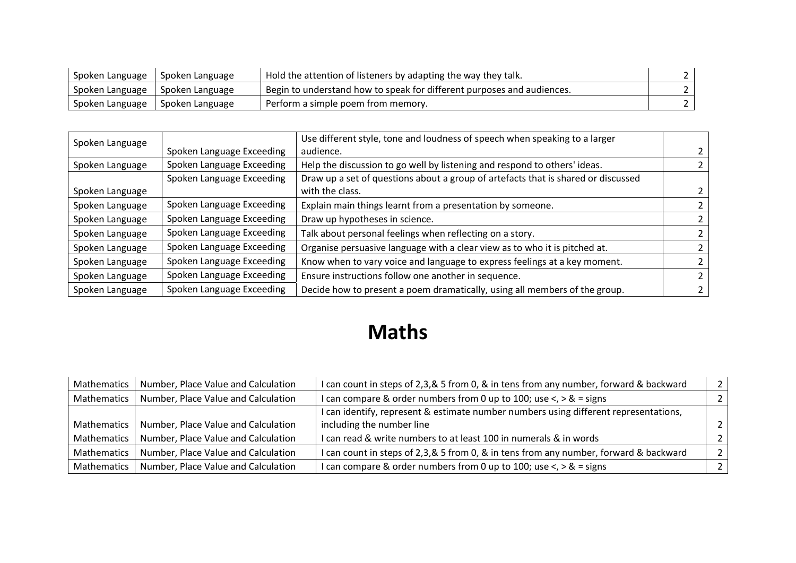| Spoken Language                   | <b>Spoken Language</b> | Hold the attention of listeners by adapting the way they talk.         |  |
|-----------------------------------|------------------------|------------------------------------------------------------------------|--|
| Spoken Language   Spoken Language |                        | Begin to understand how to speak for different purposes and audiences. |  |
| Spoken Language   Spoken Language |                        | Perform a simple poem from memory.                                     |  |

| Spoken Language |                           | Use different style, tone and loudness of speech when speaking to a larger        |  |
|-----------------|---------------------------|-----------------------------------------------------------------------------------|--|
|                 | Spoken Language Exceeding | audience.                                                                         |  |
| Spoken Language | Spoken Language Exceeding | Help the discussion to go well by listening and respond to others' ideas.         |  |
|                 | Spoken Language Exceeding | Draw up a set of questions about a group of artefacts that is shared or discussed |  |
| Spoken Language |                           | with the class.                                                                   |  |
| Spoken Language | Spoken Language Exceeding | Explain main things learnt from a presentation by someone.                        |  |
| Spoken Language | Spoken Language Exceeding | Draw up hypotheses in science.                                                    |  |
| Spoken Language | Spoken Language Exceeding | Talk about personal feelings when reflecting on a story.                          |  |
| Spoken Language | Spoken Language Exceeding | Organise persuasive language with a clear view as to who it is pitched at.        |  |
| Spoken Language | Spoken Language Exceeding | Know when to vary voice and language to express feelings at a key moment.         |  |
| Spoken Language | Spoken Language Exceeding | Ensure instructions follow one another in sequence.                               |  |
| Spoken Language | Spoken Language Exceeding | Decide how to present a poem dramatically, using all members of the group.        |  |

## **Maths**

| Mathematics | Number, Place Value and Calculation | I can count in steps of 2,3,& 5 from 0, & in tens from any number, forward & backward | 2              |
|-------------|-------------------------------------|---------------------------------------------------------------------------------------|----------------|
| Mathematics | Number, Place Value and Calculation | I can compare & order numbers from 0 up to 100; use $\lt$ , $>$ & = signs             |                |
|             |                                     | I can identify, represent & estimate number numbers using different representations,  |                |
| Mathematics | Number, Place Value and Calculation | including the number line                                                             | $\overline{2}$ |
| Mathematics | Number, Place Value and Calculation | I can read & write numbers to at least 100 in numerals & in words                     |                |
| Mathematics | Number, Place Value and Calculation | I can count in steps of 2,3,& 5 from 0, & in tens from any number, forward & backward | $\overline{2}$ |
| Mathematics | Number, Place Value and Calculation | I can compare & order numbers from 0 up to 100; use $\lt$ , $>$ & = signs             | $\overline{2}$ |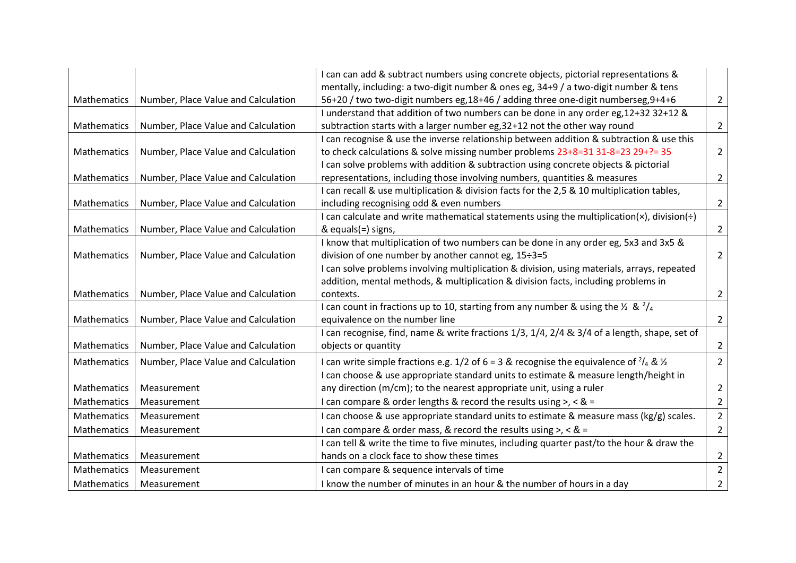|                    |                                     | I can can add & subtract numbers using concrete objects, pictorial representations &                        |                |
|--------------------|-------------------------------------|-------------------------------------------------------------------------------------------------------------|----------------|
|                    |                                     | mentally, including: a two-digit number & ones eg, 34+9 / a two-digit number & tens                         |                |
| Mathematics        | Number, Place Value and Calculation | 56+20 / two two-digit numbers eg,18+46 / adding three one-digit numberseg,9+4+6                             | $\overline{2}$ |
|                    |                                     | I understand that addition of two numbers can be done in any order eg, 12+32 32+12 &                        |                |
| Mathematics        | Number, Place Value and Calculation | subtraction starts with a larger number eg, 32+12 not the other way round                                   | $\overline{2}$ |
|                    |                                     | I can recognise & use the inverse relationship between addition & subtraction & use this                    |                |
| Mathematics        | Number, Place Value and Calculation | to check calculations & solve missing number problems 23+8=31 31-8=23 29+?= 35                              | $\overline{2}$ |
|                    |                                     | I can solve problems with addition & subtraction using concrete objects & pictorial                         |                |
| Mathematics        | Number, Place Value and Calculation | representations, including those involving numbers, quantities & measures                                   | $\overline{2}$ |
|                    |                                     | I can recall & use multiplication & division facts for the 2,5 & 10 multiplication tables,                  |                |
| Mathematics        | Number, Place Value and Calculation | including recognising odd & even numbers                                                                    | $\overline{2}$ |
|                    |                                     | I can calculate and write mathematical statements using the multiplication( $\times$ ), division( $\div$ )  |                |
| Mathematics        | Number, Place Value and Calculation | & equals(=) signs,                                                                                          | $\overline{2}$ |
|                    |                                     | I know that multiplication of two numbers can be done in any order eg, 5x3 and 3x5 &                        |                |
| Mathematics        | Number, Place Value and Calculation | division of one number by another cannot eg, 15÷3=5                                                         | 2              |
|                    |                                     | I can solve problems involving multiplication & division, using materials, arrays, repeated                 |                |
|                    |                                     | addition, mental methods, & multiplication & division facts, including problems in                          |                |
| Mathematics        | Number, Place Value and Calculation | contexts.                                                                                                   | $\overline{2}$ |
|                    |                                     | I can count in fractions up to 10, starting from any number & using the $\frac{1}{2}$ & $\frac{2}{4}$       |                |
| Mathematics        | Number, Place Value and Calculation | equivalence on the number line                                                                              | $\overline{2}$ |
|                    |                                     | I can recognise, find, name & write fractions 1/3, 1/4, 2/4 & 3/4 of a length, shape, set of                |                |
| Mathematics        | Number, Place Value and Calculation | objects or quantity                                                                                         | 2              |
| Mathematics        | Number, Place Value and Calculation | I can write simple fractions e.g. 1/2 of 6 = 3 & recognise the equivalence of $\frac{2}{4}$ & $\frac{1}{2}$ | $\overline{2}$ |
|                    |                                     | I can choose & use appropriate standard units to estimate & measure length/height in                        |                |
| Mathematics        | Measurement                         | any direction (m/cm); to the nearest appropriate unit, using a ruler                                        | $\overline{2}$ |
| <b>Mathematics</b> | Measurement                         | I can compare & order lengths & record the results using $>$ , < & =                                        | $\overline{2}$ |
| Mathematics        | Measurement                         | I can choose & use appropriate standard units to estimate & measure mass (kg/g) scales.                     | $\overline{2}$ |
| Mathematics        | Measurement                         | I can compare & order mass, & record the results using >, < $8 =$                                           | $\overline{2}$ |
|                    |                                     | I can tell & write the time to five minutes, including quarter past/to the hour & draw the                  |                |
| Mathematics        | Measurement                         | hands on a clock face to show these times                                                                   | $\overline{2}$ |
| <b>Mathematics</b> | Measurement                         | I can compare & sequence intervals of time                                                                  | $\overline{2}$ |
| Mathematics        | Measurement                         | I know the number of minutes in an hour & the number of hours in a day                                      | $\overline{2}$ |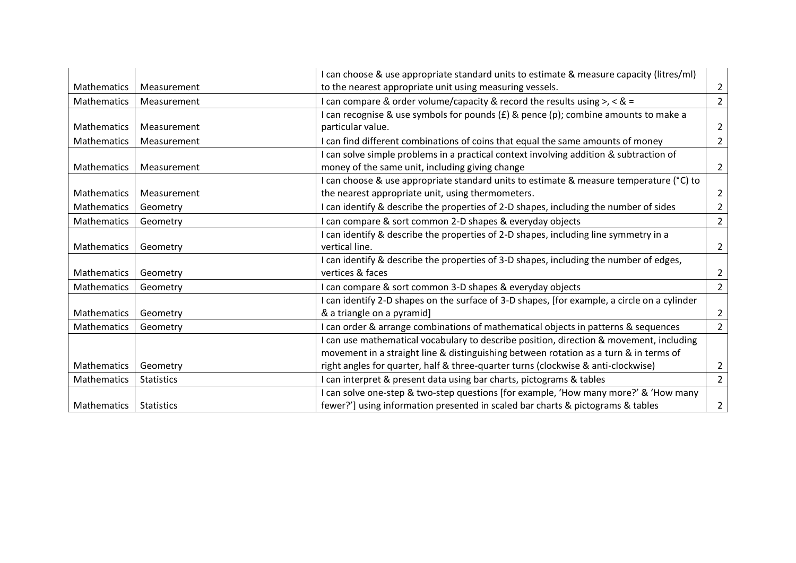|                    |                   | I can choose & use appropriate standard units to estimate & measure capacity (litres/ml)     |                |
|--------------------|-------------------|----------------------------------------------------------------------------------------------|----------------|
| <b>Mathematics</b> | Measurement       | to the nearest appropriate unit using measuring vessels.                                     | 2              |
| <b>Mathematics</b> | Measurement       | I can compare & order volume/capacity & record the results using >, < & =                    |                |
|                    |                   | I can recognise & use symbols for pounds (£) & pence (p); combine amounts to make a          |                |
| Mathematics        | Measurement       | particular value.                                                                            | 2              |
| Mathematics        | Measurement       | I can find different combinations of coins that equal the same amounts of money              | $\overline{2}$ |
|                    |                   | can solve simple problems in a practical context involving addition & subtraction of         |                |
| Mathematics        | Measurement       | money of the same unit, including giving change                                              | 2              |
|                    |                   | I can choose & use appropriate standard units to estimate & measure temperature (°C) to      |                |
| Mathematics        | Measurement       | the nearest appropriate unit, using thermometers.                                            | 2              |
| Mathematics        | Geometry          | I can identify & describe the properties of 2-D shapes, including the number of sides        |                |
| <b>Mathematics</b> | Geometry          | can compare & sort common 2-D shapes & everyday objects                                      | $\overline{2}$ |
|                    |                   | I can identify & describe the properties of 2-D shapes, including line symmetry in a         |                |
| Mathematics        | Geometry          | vertical line.                                                                               | 2              |
|                    |                   | I can identify & describe the properties of 3-D shapes, including the number of edges,       |                |
| Mathematics        | Geometry          | vertices & faces                                                                             | 2              |
| <b>Mathematics</b> | Geometry          | I can compare & sort common 3-D shapes & everyday objects                                    | $\overline{2}$ |
|                    |                   | I can identify 2-D shapes on the surface of 3-D shapes, [for example, a circle on a cylinder |                |
| <b>Mathematics</b> | Geometry          | & a triangle on a pyramid]                                                                   |                |
| Mathematics        | Geometry          | I can order & arrange combinations of mathematical objects in patterns & sequences           | $\overline{2}$ |
|                    |                   | I can use mathematical vocabulary to describe position, direction & movement, including      |                |
|                    |                   | movement in a straight line & distinguishing between rotation as a turn & in terms of        |                |
| Mathematics        | Geometry          | right angles for quarter, half & three-quarter turns (clockwise & anti-clockwise)            | 2              |
| Mathematics        | <b>Statistics</b> | I can interpret & present data using bar charts, pictograms & tables                         | $\overline{2}$ |
|                    |                   | I can solve one-step & two-step questions [for example, 'How many more?' & 'How many         |                |
| <b>Mathematics</b> | <b>Statistics</b> | fewer?'] using information presented in scaled bar charts & pictograms & tables              | 2              |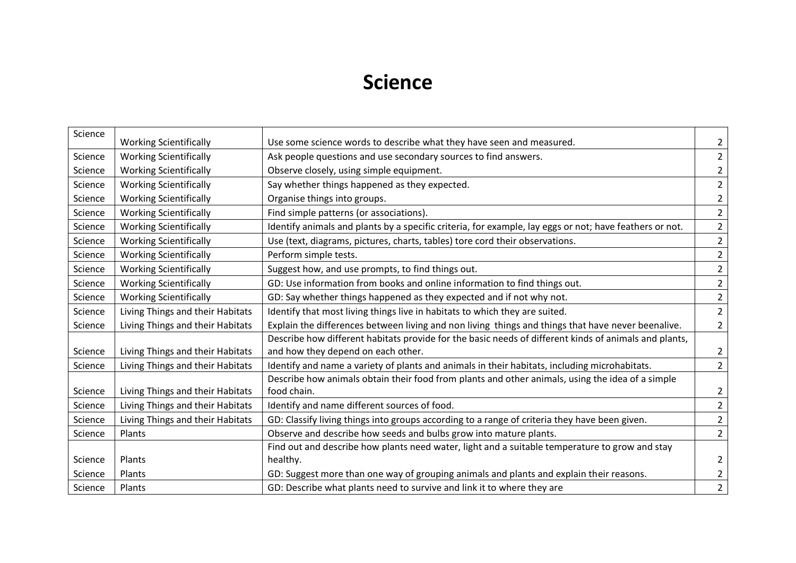#### **Science**

| Science |                                  |                                                                                                         |                |
|---------|----------------------------------|---------------------------------------------------------------------------------------------------------|----------------|
|         | <b>Working Scientifically</b>    | Use some science words to describe what they have seen and measured.                                    | $\overline{2}$ |
| Science | <b>Working Scientifically</b>    | Ask people questions and use secondary sources to find answers.                                         | $\overline{2}$ |
| Science | <b>Working Scientifically</b>    | Observe closely, using simple equipment.                                                                | $\overline{2}$ |
| Science | <b>Working Scientifically</b>    | Say whether things happened as they expected.                                                           | $\overline{2}$ |
| Science | <b>Working Scientifically</b>    | Organise things into groups.                                                                            | $\overline{2}$ |
| Science | <b>Working Scientifically</b>    | Find simple patterns (or associations).                                                                 | $\overline{2}$ |
| Science | <b>Working Scientifically</b>    | Identify animals and plants by a specific criteria, for example, lay eggs or not; have feathers or not. | $\overline{2}$ |
| Science | <b>Working Scientifically</b>    | Use (text, diagrams, pictures, charts, tables) tore cord their observations.                            | $\overline{2}$ |
| Science | <b>Working Scientifically</b>    | Perform simple tests.                                                                                   | $\overline{2}$ |
| Science | <b>Working Scientifically</b>    | Suggest how, and use prompts, to find things out.                                                       | $\overline{2}$ |
| Science | <b>Working Scientifically</b>    | GD: Use information from books and online information to find things out.                               | $\overline{2}$ |
| Science | <b>Working Scientifically</b>    | GD: Say whether things happened as they expected and if not why not.                                    | $\overline{2}$ |
| Science | Living Things and their Habitats | Identify that most living things live in habitats to which they are suited.                             | $\overline{2}$ |
| Science | Living Things and their Habitats | Explain the differences between living and non living things and things that have never beenalive.      | $2^{\circ}$    |
|         |                                  | Describe how different habitats provide for the basic needs of different kinds of animals and plants,   |                |
| Science | Living Things and their Habitats | and how they depend on each other.                                                                      | $\overline{2}$ |
| Science | Living Things and their Habitats | Identify and name a variety of plants and animals in their habitats, including microhabitats.           | $\overline{2}$ |
|         |                                  | Describe how animals obtain their food from plants and other animals, using the idea of a simple        |                |
| Science | Living Things and their Habitats | food chain.                                                                                             | $\overline{2}$ |
| Science | Living Things and their Habitats | Identify and name different sources of food.                                                            | $\overline{2}$ |
| Science | Living Things and their Habitats | GD: Classify living things into groups according to a range of criteria they have been given.           | $\overline{2}$ |
| Science | Plants                           | Observe and describe how seeds and bulbs grow into mature plants.                                       | $\overline{2}$ |
|         |                                  | Find out and describe how plants need water, light and a suitable temperature to grow and stay          |                |
| Science | Plants                           | healthy.                                                                                                | $\overline{2}$ |
| Science | Plants                           | GD: Suggest more than one way of grouping animals and plants and explain their reasons.                 | $\overline{2}$ |
| Science | Plants                           | GD: Describe what plants need to survive and link it to where they are                                  | $\overline{2}$ |